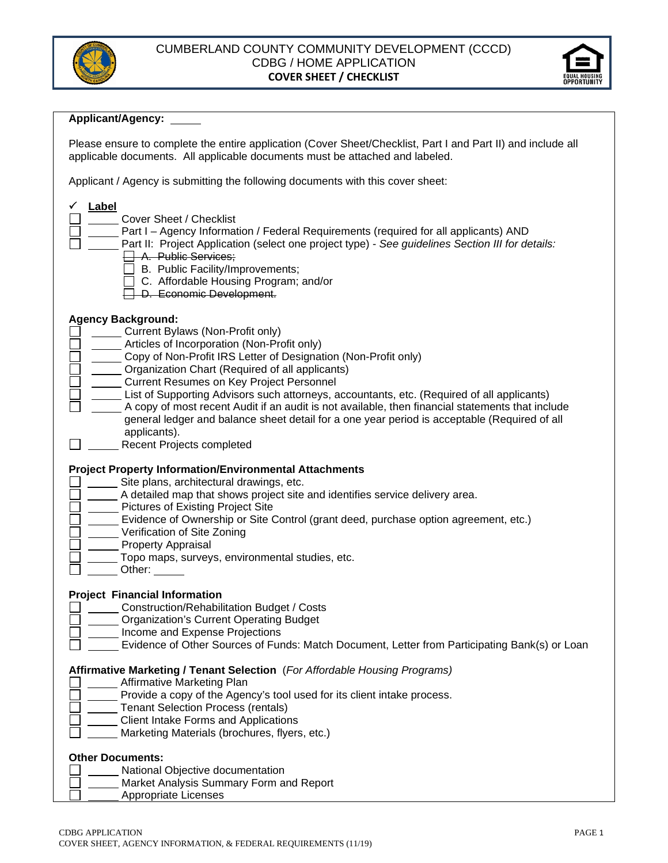



#### **Applicant/Agency:**

Please ensure to complete the entire application (Cover Sheet/Checklist, Part I and Part II) and include all applicable documents. All applicable documents must be attached and labeled.

Applicant / Agency is submitting the following documents with this cover sheet:

| <b>Label</b><br>Cover Sheet / Checklist<br>Part I - Agency Information / Federal Requirements (required for all applicants) AND<br>Part II: Project Application (select one project type) - See guidelines Section III for details:<br><del>A. Public Services;</del><br>B. Public Facility/Improvements;<br>C. Affordable Housing Program; and/or<br>D. Economic Development.                                                                                                                                                                                                                                                      |
|-------------------------------------------------------------------------------------------------------------------------------------------------------------------------------------------------------------------------------------------------------------------------------------------------------------------------------------------------------------------------------------------------------------------------------------------------------------------------------------------------------------------------------------------------------------------------------------------------------------------------------------|
| <b>Agency Background:</b><br>Current Bylaws (Non-Profit only)<br>Articles of Incorporation (Non-Profit only)<br>Copy of Non-Profit IRS Letter of Designation (Non-Profit only)<br>Organization Chart (Required of all applicants)<br><b>Current Resumes on Key Project Personnel</b><br>List of Supporting Advisors such attorneys, accountants, etc. (Required of all applicants)<br>A copy of most recent Audit if an audit is not available, then financial statements that include<br>general ledger and balance sheet detail for a one year period is acceptable (Required of all<br>applicants).<br>Recent Projects completed |
| <b>Project Property Information/Environmental Attachments</b><br>Site plans, architectural drawings, etc.<br>A detailed map that shows project site and identifies service delivery area.<br>Pictures of Existing Project Site<br>Evidence of Ownership or Site Control (grant deed, purchase option agreement, etc.)<br>Verification of Site Zoning<br><b>Property Appraisal</b><br>Topo maps, surveys, environmental studies, etc.<br>Other: $\_\_$                                                                                                                                                                               |
| <b>Project Financial Information</b><br>Construction/Rehabilitation Budget / Costs<br><b>Organization's Current Operating Budget</b><br>Income and Expense Projections<br>Evidence of Other Sources of Funds: Match Document, Letter from Participating Bank(s) or Loan                                                                                                                                                                                                                                                                                                                                                             |
| Affirmative Marketing / Tenant Selection (For Affordable Housing Programs)<br><b>Affirmative Marketing Plan</b><br>Provide a copy of the Agency's tool used for its client intake process.<br><b>Tenant Selection Process (rentals)</b><br><b>Client Intake Forms and Applications</b><br>Marketing Materials (brochures, flyers, etc.)                                                                                                                                                                                                                                                                                             |
| <b>Other Documents:</b><br>National Objective documentation<br>Market Analysis Summary Form and Report<br><b>Appropriate Licenses</b>                                                                                                                                                                                                                                                                                                                                                                                                                                                                                               |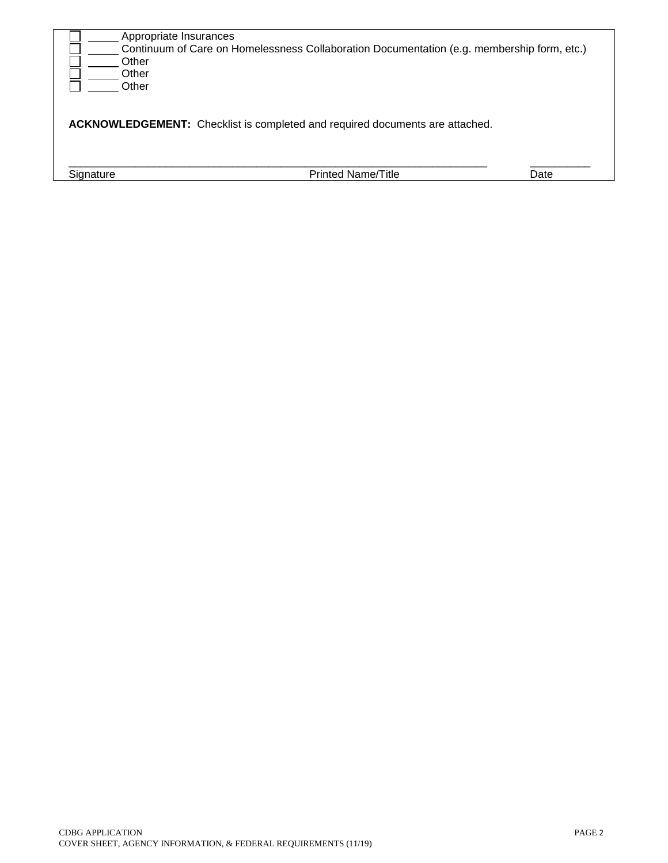| Appropriate Insurances<br>Other<br>Other<br>Other                                   | Continuum of Care on Homelessness Collaboration Documentation (e.g. membership form, etc.) |      |  |  |
|-------------------------------------------------------------------------------------|--------------------------------------------------------------------------------------------|------|--|--|
| <b>ACKNOWLEDGEMENT:</b> Checklist is completed and required documents are attached. |                                                                                            |      |  |  |
| Signature                                                                           | <b>Printed Name/Title</b>                                                                  | Date |  |  |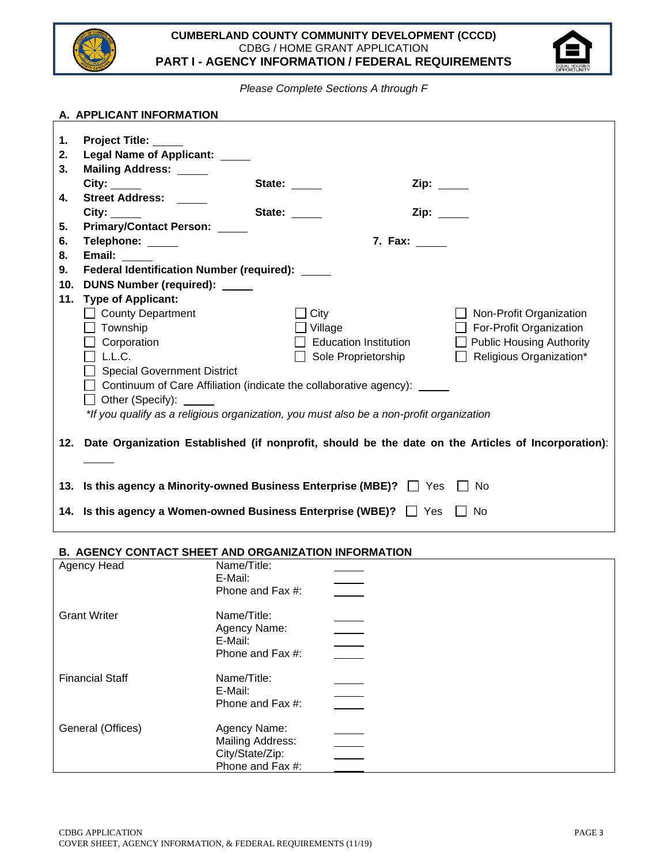



*Please Complete Sections A through F*

|    | A. APPLICANT INFORMATION                                                                |                                                                                                        |                                |  |  |
|----|-----------------------------------------------------------------------------------------|--------------------------------------------------------------------------------------------------------|--------------------------------|--|--|
|    |                                                                                         |                                                                                                        |                                |  |  |
| 1. | <b>Project Title:</b>                                                                   |                                                                                                        |                                |  |  |
| 2. | Legal Name of Applicant: ____                                                           |                                                                                                        |                                |  |  |
| 3. | Mailing Address: _____                                                                  |                                                                                                        |                                |  |  |
|    |                                                                                         | State: _____<br>Zip: $\_\_$                                                                            |                                |  |  |
| 4. | <b>Street Address:</b>                                                                  |                                                                                                        |                                |  |  |
|    |                                                                                         | State:<br>Zip: www.                                                                                    |                                |  |  |
| 5. | Primary/Contact Person: _____                                                           |                                                                                                        |                                |  |  |
| 6. | Telephone: _____                                                                        | 7. Fax: ______                                                                                         |                                |  |  |
| 8. | Email:                                                                                  |                                                                                                        |                                |  |  |
| 9. | Federal Identification Number (required): ____                                          |                                                                                                        |                                |  |  |
|    | 10. DUNS Number (required): ____                                                        |                                                                                                        |                                |  |  |
|    | 11. Type of Applicant:                                                                  |                                                                                                        |                                |  |  |
|    | County Department                                                                       | $\exists$ City                                                                                         | $\Box$ Non-Profit Organization |  |  |
|    | $\Box$ Township                                                                         | Village                                                                                                | $\Box$ For-Profit Organization |  |  |
|    | $\Box$ Corporation                                                                      | <b>Education Institution</b>                                                                           | □ Public Housing Authority     |  |  |
|    | $\Box$ L.L.C.                                                                           | Sole Proprietorship                                                                                    | $\Box$ Religious Organization* |  |  |
|    | Special Government District                                                             |                                                                                                        |                                |  |  |
|    |                                                                                         | □ Continuum of Care Affiliation (indicate the collaborative agency): <u>■ ■</u>                        |                                |  |  |
|    | □ Other (Specify): <u>_____</u>                                                         |                                                                                                        |                                |  |  |
|    | *If you qualify as a religious organization, you must also be a non-profit organization |                                                                                                        |                                |  |  |
|    |                                                                                         |                                                                                                        |                                |  |  |
|    |                                                                                         | 12. Date Organization Established (if nonprofit, should be the date on the Articles of Incorporation): |                                |  |  |
|    |                                                                                         |                                                                                                        |                                |  |  |
|    |                                                                                         |                                                                                                        |                                |  |  |
|    |                                                                                         | 13. Is this agency a Minority-owned Business Enterprise (MBE)? The State Thio                          |                                |  |  |
|    |                                                                                         | 14. Is this agency a Women-owned Business Enterprise (WBE)?   Yes                                      | No.                            |  |  |
|    |                                                                                         |                                                                                                        |                                |  |  |

## **B. AGENCY CONTACT SHEET AND ORGANIZATION INFORMATION**

| Agency Head            | Name/Title:<br>E-Mail:<br>Phone and Fax #:                                     |
|------------------------|--------------------------------------------------------------------------------|
| <b>Grant Writer</b>    | Name/Title:<br>Agency Name:<br>E-Mail:<br>Phone and Fax #:                     |
| <b>Financial Staff</b> | Name/Title:<br>E-Mail:<br>Phone and Fax #:                                     |
| General (Offices)      | Agency Name:<br><b>Mailing Address:</b><br>City/State/Zip:<br>Phone and Fax #: |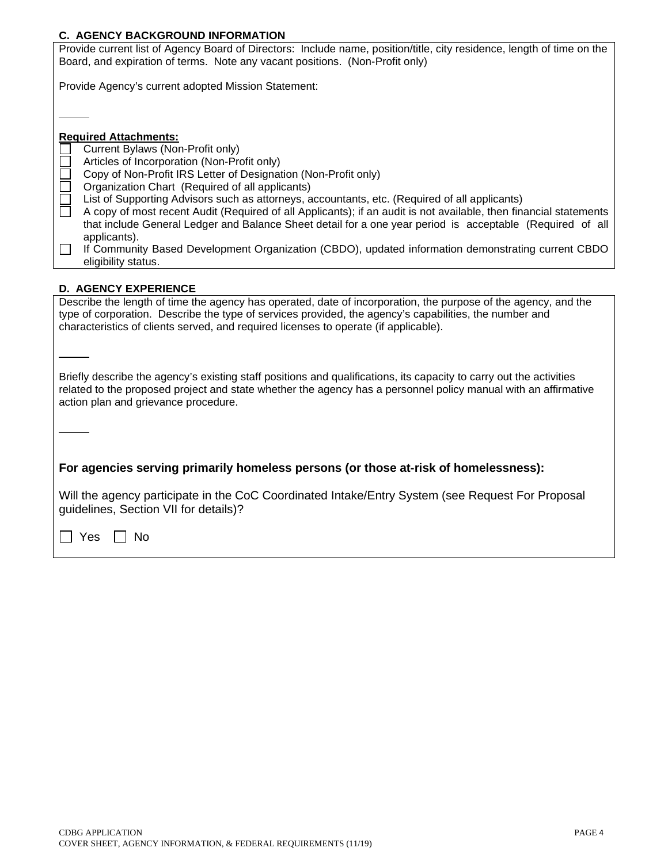# **C. AGENCY BACKGROUND INFORMATION**

| <b>C. AGENCY BACKGROUND INFORMATION</b>                                                                                                                                                                                                                                                                                                                                                           |  |  |  |  |
|---------------------------------------------------------------------------------------------------------------------------------------------------------------------------------------------------------------------------------------------------------------------------------------------------------------------------------------------------------------------------------------------------|--|--|--|--|
| Provide current list of Agency Board of Directors: Include name, position/title, city residence, length of time on the<br>Board, and expiration of terms. Note any vacant positions. (Non-Profit only)                                                                                                                                                                                            |  |  |  |  |
| Provide Agency's current adopted Mission Statement:                                                                                                                                                                                                                                                                                                                                               |  |  |  |  |
|                                                                                                                                                                                                                                                                                                                                                                                                   |  |  |  |  |
| <b>Required Attachments:</b><br>Current Bylaws (Non-Profit only)                                                                                                                                                                                                                                                                                                                                  |  |  |  |  |
| Articles of Incorporation (Non-Profit only)<br>Copy of Non-Profit IRS Letter of Designation (Non-Profit only)                                                                                                                                                                                                                                                                                     |  |  |  |  |
| Organization Chart (Required of all applicants)<br>$\Box$<br>List of Supporting Advisors such as attorneys, accountants, etc. (Required of all applicants)<br>A copy of most recent Audit (Required of all Applicants); if an audit is not available, then financial statements<br>П<br>that include General Ledger and Balance Sheet detail for a one year period is acceptable (Required of all |  |  |  |  |
| applicants).<br>П<br>If Community Based Development Organization (CBDO), updated information demonstrating current CBDO<br>eligibility status.                                                                                                                                                                                                                                                    |  |  |  |  |
| <b>D. AGENCY EXPERIENCE</b>                                                                                                                                                                                                                                                                                                                                                                       |  |  |  |  |
| Describe the length of time the agency has operated, date of incorporation, the purpose of the agency, and the<br>type of corporation. Describe the type of services provided, the agency's capabilities, the number and<br>characteristics of clients served, and required licenses to operate (if applicable).                                                                                  |  |  |  |  |
|                                                                                                                                                                                                                                                                                                                                                                                                   |  |  |  |  |
| Briefly describe the agency's existing staff positions and qualifications, its capacity to carry out the activities<br>related to the proposed project and state whether the agency has a personnel policy manual with an affirmative<br>action plan and grievance procedure.                                                                                                                     |  |  |  |  |
|                                                                                                                                                                                                                                                                                                                                                                                                   |  |  |  |  |
| For agencies serving primarily homeless persons (or those at-risk of homelessness):                                                                                                                                                                                                                                                                                                               |  |  |  |  |
| Will the agency participate in the CoC Coordinated Intake/Entry System (see Request For Proposal<br>guidelines, Section VII for details)?                                                                                                                                                                                                                                                         |  |  |  |  |
| Yes<br>No                                                                                                                                                                                                                                                                                                                                                                                         |  |  |  |  |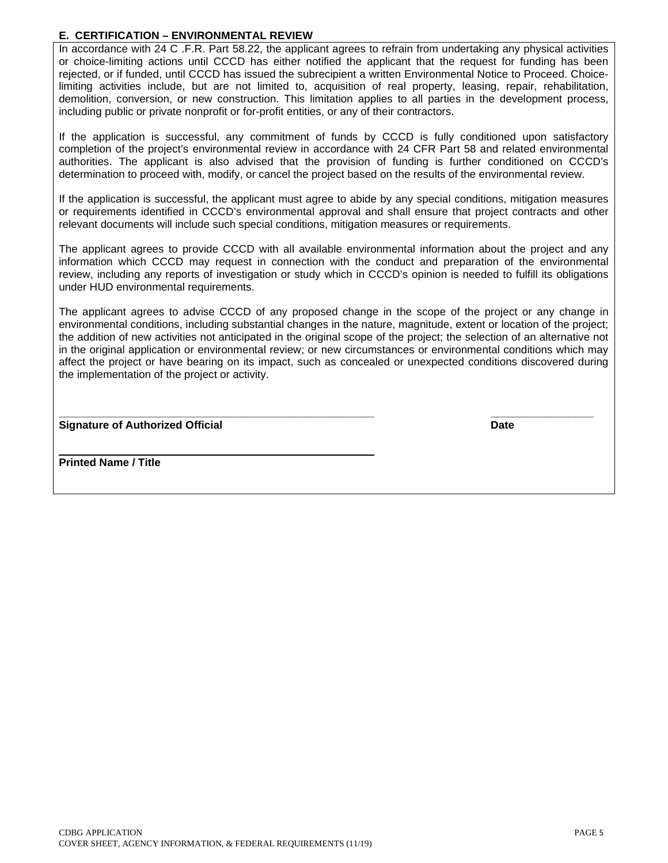## **E. CERTIFICATION – ENVIRONMENTAL REVIEW**

In accordance with 24 C .F.R. Part 58.22, the applicant agrees to refrain from undertaking any physical activities or choice-limiting actions until CCCD has either notified the applicant that the request for funding has been rejected, or if funded, until CCCD has issued the subrecipient a written Environmental Notice to Proceed. Choicelimiting activities include, but are not limited to, acquisition of real property, leasing, repair, rehabilitation, demolition, conversion, or new construction. This limitation applies to all parties in the development process, including public or private nonprofit or for-profit entities, or any of their contractors.

If the application is successful, any commitment of funds by CCCD is fully conditioned upon satisfactory completion of the project's environmental review in accordance with 24 CFR Part 58 and related environmental authorities. The applicant is also advised that the provision of funding is further conditioned on CCCD's determination to proceed with, modify, or cancel the project based on the results of the environmental review.

If the application is successful, the applicant must agree to abide by any special conditions, mitigation measures or requirements identified in CCCD's environmental approval and shall ensure that project contracts and other relevant documents will include such special conditions, mitigation measures or requirements.

The applicant agrees to provide CCCD with all available environmental information about the project and any information which CCCD may request in connection with the conduct and preparation of the environmental review, including any reports of investigation or study which in CCCD's opinion is needed to fulfill its obligations under HUD environmental requirements.

The applicant agrees to advise CCCD of any proposed change in the scope of the project or any change in environmental conditions, including substantial changes in the nature, magnitude, extent or location of the project; the addition of new activities not anticipated in the original scope of the project; the selection of an alternative not in the original application or environmental review; or new circumstances or environmental conditions which may affect the project or have bearing on its impact, such as concealed or unexpected conditions discovered during the implementation of the project or activity.

**\_\_\_\_\_\_\_\_\_\_\_\_\_\_\_\_\_\_\_\_\_\_\_\_\_\_\_\_\_\_\_\_\_\_\_\_\_\_\_\_\_\_\_\_\_\_\_\_\_\_\_\_ \_\_\_\_\_\_\_\_\_\_\_\_\_\_\_\_\_ Signature of Authorized Official Date**

\_\_\_\_\_\_\_\_\_\_\_\_\_\_\_\_\_\_\_\_\_\_\_\_\_\_\_\_\_\_\_\_\_\_\_\_\_\_\_\_\_\_\_\_\_\_\_ **Printed Name / Title**